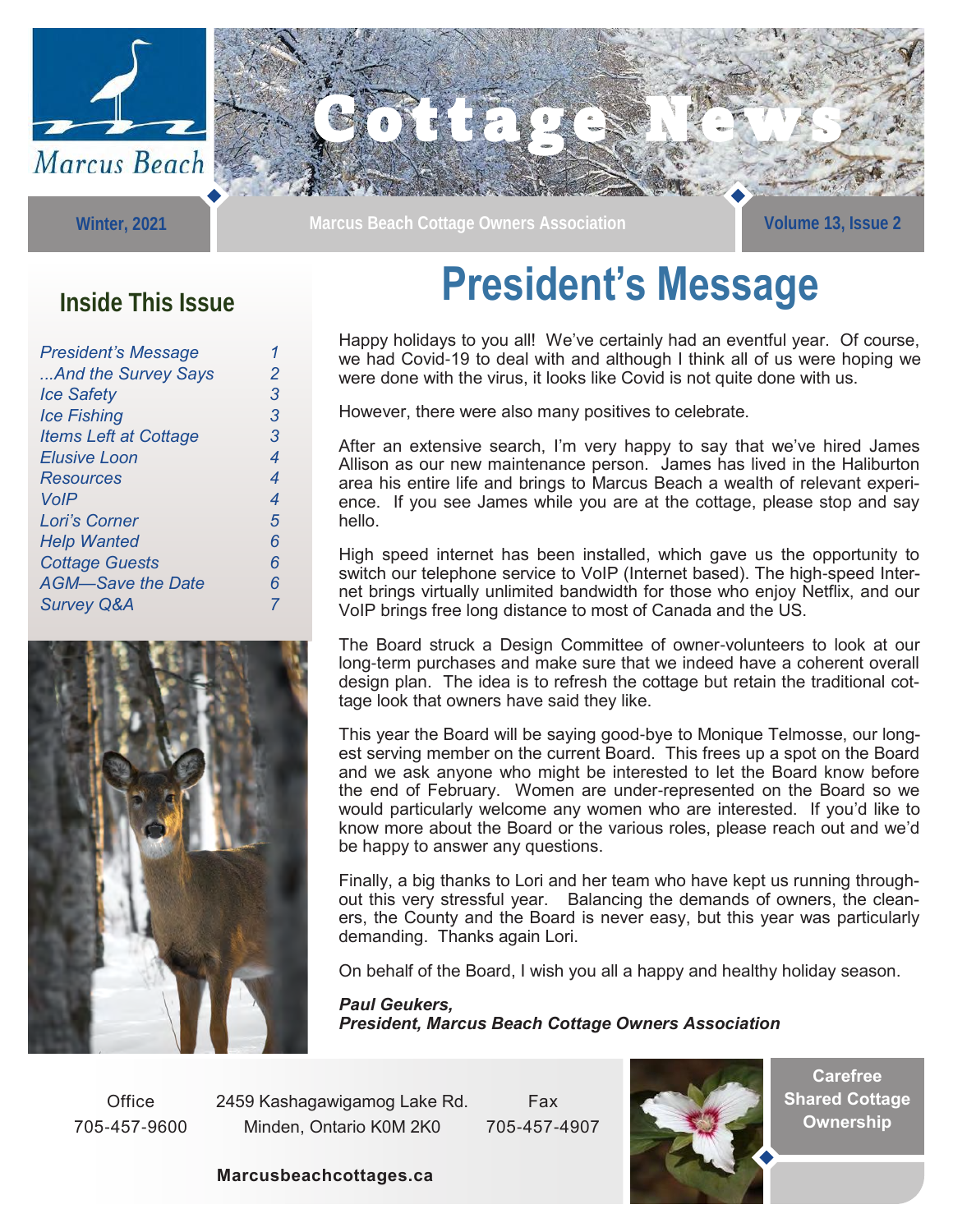

**Winter, 2021** 



NEW : PO

### **Inside This Issue**

| <b>President's Message</b>   |   |
|------------------------------|---|
| And the Survey Says          | 2 |
| <b>Ice Safety</b>            | 3 |
| <b>Ice Fishing</b>           | 3 |
| <b>Items Left at Cottage</b> | З |
| Elusive Loon                 | 4 |
| <b>Resources</b>             | 4 |
| <b>VoIP</b>                  | 4 |
| Lori's Corner                | 5 |
| <b>Help Wanted</b>           | 6 |
| <b>Cottage Guests</b>        | 6 |
| <b>AGM-Save the Date</b>     | 6 |
| <b>Survey Q&amp;A</b>        |   |
|                              |   |



## **President's Message**

Happy holidays to you all! We've certainly had an eventful year. Of course, we had Covid-19 to deal with and although I think all of us were hoping we were done with the virus, it looks like Covid is not quite done with us.

However, there were also many positives to celebrate.

After an extensive search, I'm very happy to say that we've hired James Allison as our new maintenance person. James has lived in the Haliburton area his entire life and brings to Marcus Beach a wealth of relevant experience. If you see James while you are at the cottage, please stop and say hello.

High speed internet has been installed, which gave us the opportunity to switch our telephone service to VoIP (Internet based). The high-speed Internet brings virtually unlimited bandwidth for those who enjoy Netflix, and our VoIP brings free long distance to most of Canada and the US.

The Board struck a Design Committee of owner-volunteers to look at our long-term purchases and make sure that we indeed have a coherent overall design plan. The idea is to refresh the cottage but retain the traditional cottage look that owners have said they like.

This year the Board will be saying good-bye to Monique Telmosse, our longest serving member on the current Board. This frees up a spot on the Board and we ask anyone who might be interested to let the Board know before the end of February. Women are under-represented on the Board so we would particularly welcome any women who are interested. If you'd like to know more about the Board or the various roles, please reach out and we'd be happy to answer any questions.

Finally, a big thanks to Lori and her team who have kept us running throughout this very stressful year. Balancing the demands of owners, the cleaners, the County and the Board is never easy, but this year was particularly demanding. Thanks again Lori.

On behalf of the Board, I wish you all a happy and healthy holiday season.

*Paul Geukers, President, Marcus Beach Cottage Owners Association*

**Office** 705-457-9600 2459 Kashagawigamog Lake Rd. Minden, Ontario K0M 2K0

Fax 705-457-4907



**Carefree Shared Cottage Ownership**

**Marcusbeachcottages.ca**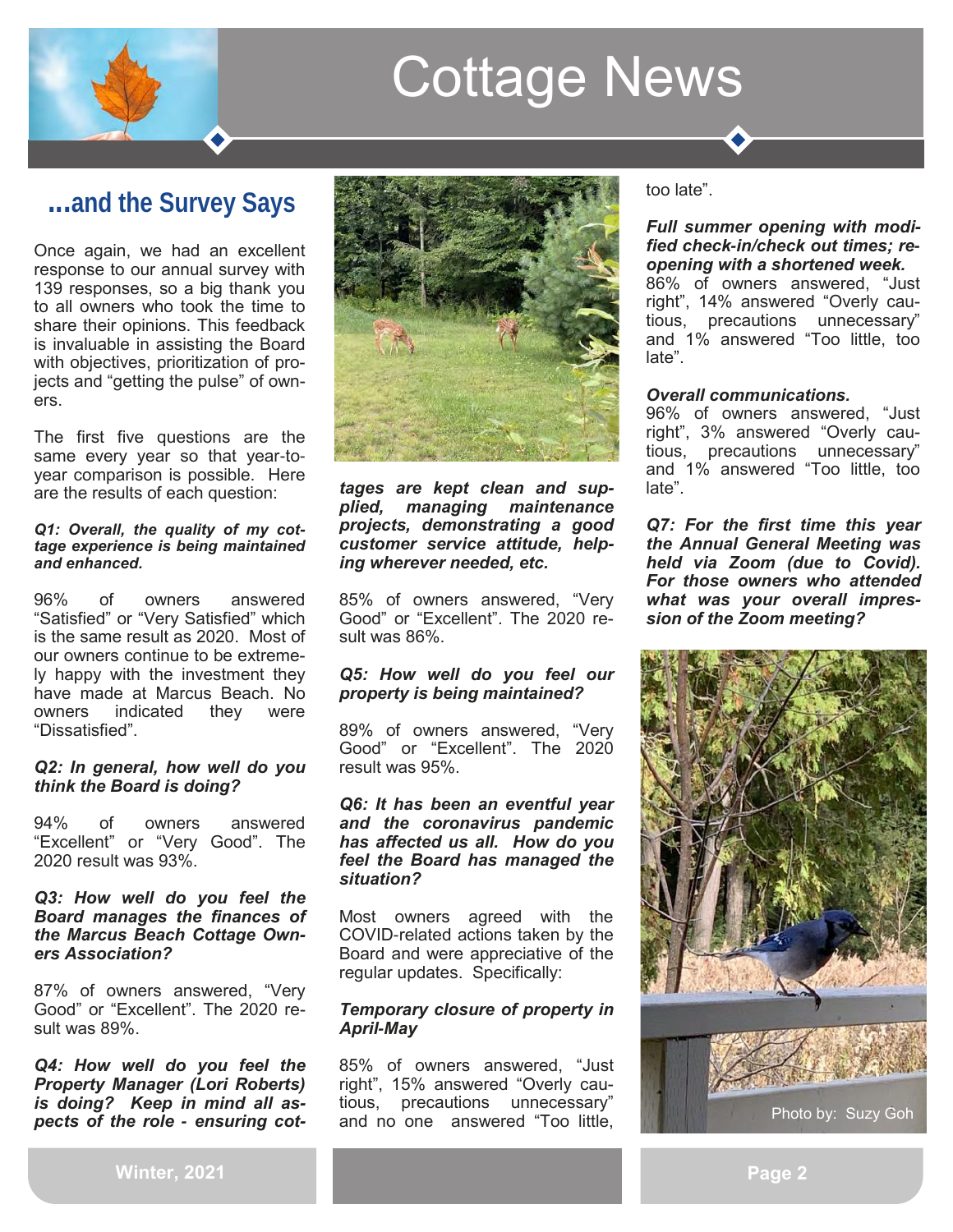

## **...and the Survey Says**

Once again, we had an excellent response to our annual survey with 139 responses, so a big thank you to all owners who took the time to share their opinions. This feedback is invaluable in assisting the Board with objectives, prioritization of projects and "getting the pulse" of owners.

The first five questions are the same every year so that year-toyear comparison is possible. Here are the results of each question:

#### *Q1: Overall, the quality of my cottage experience is being maintained and enhanced.*

96% of owners answered "Satisfied" or "Very Satisfied" which is the same result as 2020. Most of our owners continue to be extremely happy with the investment they have made at Marcus Beach. No owners indicated they were "Dissatisfied".

#### *Q2: In general, how well do you think the Board is doing?*

94% of owners answered "Excellent" or "Very Good". The 2020 result was 93%.

#### *Q3: How well do you feel the Board manages the finances of the Marcus Beach Cottage Owners Association?*

87% of owners answered, "Very Good" or "Excellent". The 2020 result was 89%.

*Q4: How well do you feel the Property Manager (Lori Roberts) is doing? Keep in mind all aspects of the role* **-** *ensuring cot-*



*tages are kept clean and supplied, managing maintenance projects, demonstrating a good customer service attitude, helping wherever needed, etc.*

85% of owners answered, "Very Good" or "Excellent". The 2020 result was 86%.

#### *Q5: How well do you feel our property is being maintained?*

89% of owners answered, "Very Good" or "Excellent". The 2020 result was 95%.

#### *Q6: It has been an eventful year and the coronavirus pandemic has affected us all. How do you feel the Board has managed the situation?*

Most owners agreed with the COVID-related actions taken by the Board and were appreciative of the regular updates. Specifically:

#### *Temporary closure of property in April***-***May*

85% of owners answered, "Just right", 15% answered "Overly cautious, precautions unnecessary" and no one answered "Too little, too late".

#### *Full summer opening with modified check***-***in/check out times; re**opening with a shortened week.*

86% of owners answered, "Just right", 14% answered "Overly cautious, precautions unnecessary" and 1% answered "Too little, too late".

### *Overall communications.*

96% of owners answered, "Just right", 3% answered "Overly cautious, precautions unnecessary" and 1% answered "Too little, too late".

*Q7: For the first time this year the Annual General Meeting was held via Zoom (due to Covid). For those owners who attended what was your overall impression of the Zoom meeting?*



**Winter, 2021**

**Page 2**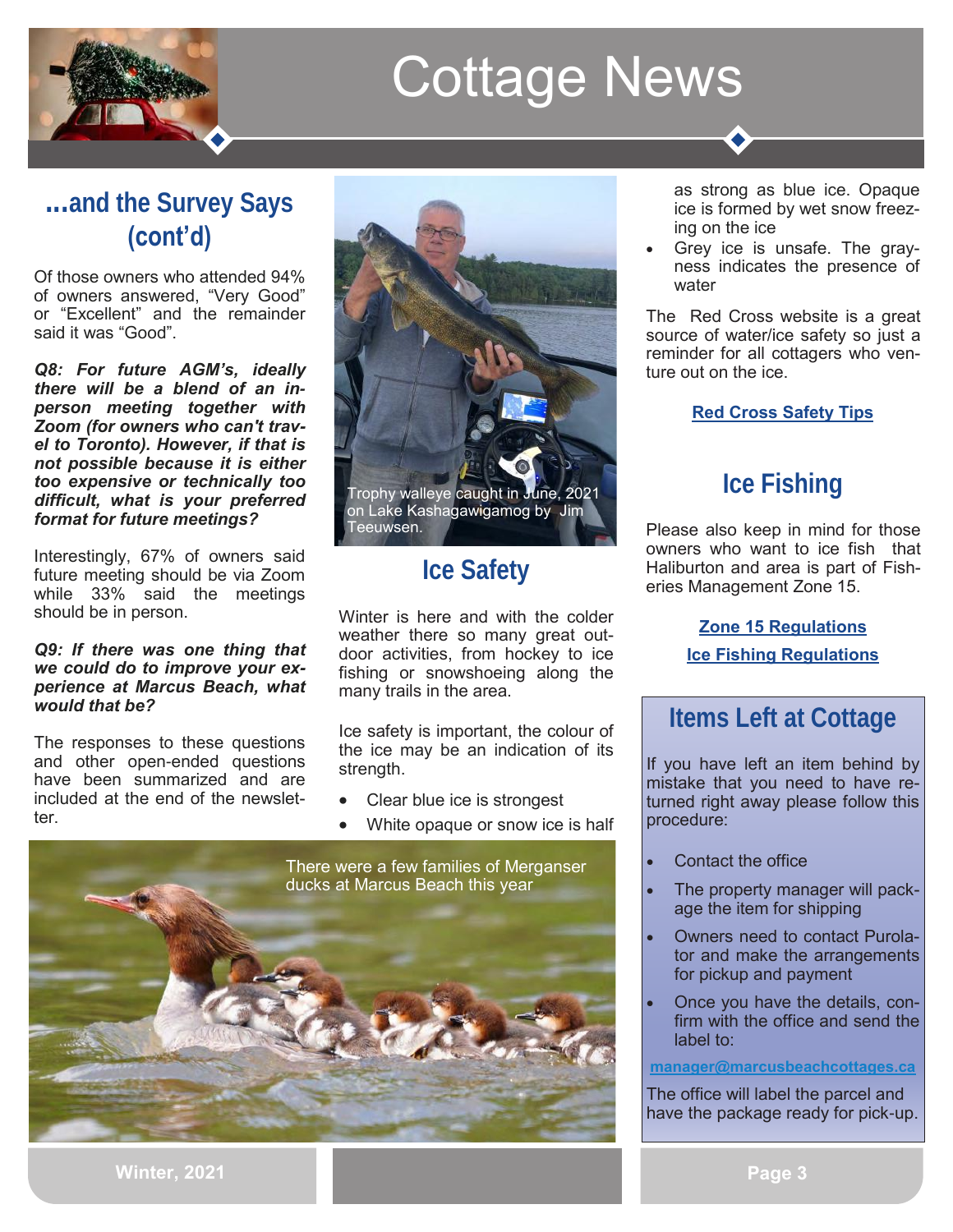

## **...and the Survey Says (cont'd)**

Of those owners who attended 94% of owners answered, "Very Good" or "Excellent" and the remainder said it was "Good".

*Q8: For future AGM's, ideally there will be a blend of an in**person meeting together with Zoom (for owners who can't travel to Toronto). However, if that is not possible because it is either too expensive or technically too difficult, what is your preferred format for future meetings?*

Interestingly, 67% of owners said future meeting should be via Zoom while 33% said the meetings should be in person.

#### *Q9: If there was one thing that we could do to improve your experience at Marcus Beach, what would that be?*

The responses to these questions and other open-ended questions have been summarized and are included at the end of the newsletter.



## **Ice Safety**

Winter is here and with the colder weather there so many great outdoor activities, from hockey to ice fishing or snowshoeing along the many trails in the area.

Ice safety is important, the colour of the ice may be an indication of its strength.

- Clear blue ice is strongest
- White opaque or snow ice is half



as strong as blue ice. Opaque ice is formed by wet snow freezing on the ice

• Grey ice is unsafe. The grayness indicates the presence of water

The Red Cross website is a great source of water/ice safety so just a reminder for all cottagers who venture out on the ice.

### **[Red Cross Safety Tips](https://www.redcross.ca/training-and-certification/swimming-and-water-safety-tips-and-resources/swimming-boating-and-water-safety-tips/ice-safety)**

## **Ice Fishing**

Please also keep in mind for those owners who want to ice fish that Haliburton and area is part of Fisheries Management Zone 15.

> **[Zone 15 Regulations](https://www.ontario.ca/document/ontario-fishing-regulations-summary/fisheries-management-zone-15) [Ice Fishing Regulations](https://www.ontario.ca/page/ice-fishing)**

## **Items Left at Cottage**

If you have left an item behind by mistake that you need to have returned right away please follow this procedure:

- Contact the office
- The property manager will package the item for shipping
- Owners need to contact Purolator and make the arrangements for pickup and payment
- Once you have the details, confirm with the office and send the label to:

#### **[manager@marcusbeachcottages.ca](mailto:manager@marcusbeachcottages.ca)**

The office will label the parcel and have the package ready for pick-up.

**Winter, 2021**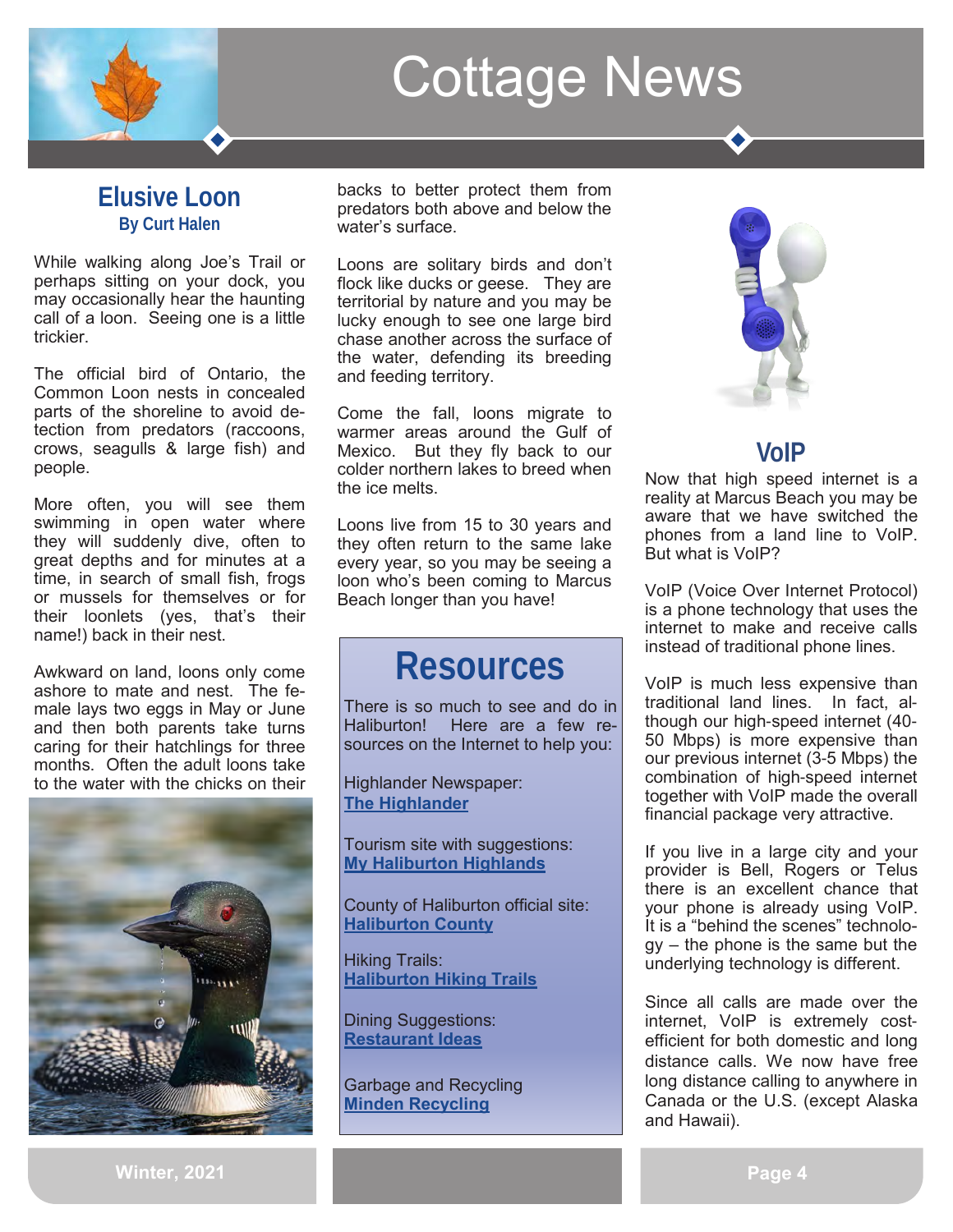

### **Elusive Loon By Curt Halen**

While walking along Joe's Trail or perhaps sitting on your dock, you may occasionally hear the haunting call of a loon. Seeing one is a little trickier.

The official bird of Ontario, the Common Loon nests in concealed parts of the shoreline to avoid detection from predators (raccoons, crows, seagulls & large fish) and people.

More often, you will see them swimming in open water where they will suddenly dive, often to great depths and for minutes at a time, in search of small fish, frogs or mussels for themselves or for their loonlets (yes, that's their name!) back in their nest.

Awkward on land, loons only come ashore to mate and nest. The female lays two eggs in May or June and then both parents take turns caring for their hatchlings for three months. Often the adult loons take to the water with the chicks on their



backs to better protect them from predators both above and below the water's surface.

Loons are solitary birds and don't flock like ducks or geese. They are territorial by nature and you may be lucky enough to see one large bird chase another across the surface of the water, defending its breeding and feeding territory.

Come the fall, loons migrate to warmer areas around the Gulf of Mexico. But they fly back to our colder northern lakes to breed when the ice melts.

Loons live from 15 to 30 years and they often return to the same lake every year, so you may be seeing a loon who's been coming to Marcus Beach longer than you have!

## **Resources**

There is so much to see and do in Haliburton! Here are a few resources on the Internet to help you:

Highlander Newspaper: **[The Highlander](https://thehighlander.ca/)**

Tourism site with suggestions: **[My Haliburton Highlands](https://myhaliburtonhighlands.com/)**

County of Haliburton official site: **[Haliburton County](https://www.haliburtoncounty.ca/)**

Hiking Trails: **[Haliburton Hiking Trails](https://myhaliburtonhighlands.com/hiking-trails/)**

Dining Suggestions: **[Restaurant Ideas](https://luxuryhaliburton.com/ss/haliburton-restaurants/)**

Garbage and Recycling **[Minden Recycling](https://mindenhills.ca/environmental-services/landfill-operations/)**



## **VoIP**

Now that high speed internet is a reality at Marcus Beach you may be aware that we have switched the phones from a land line to VoIP. But what is VoIP?

VoIP (Voice Over Internet Protocol) is a phone technology that uses the internet to make and receive calls instead of traditional phone lines.

VoIP is much less expensive than traditional land lines. In fact, although our high-speed internet (40- 50 Mbps) is more expensive than our previous internet (3-5 Mbps) the combination of high-speed internet together with VoIP made the overall financial package very attractive.

If you live in a large city and your provider is Bell, Rogers or Telus there is an excellent chance that your phone is already using VoIP. It is a "behind the scenes" technology – the phone is the same but the underlying technology is different.

Since all calls are made over the internet, VoIP is extremely costefficient for both domestic and long distance calls. We now have free long distance calling to anywhere in Canada or the U.S. (except Alaska and Hawaii).

**Winter, 2021**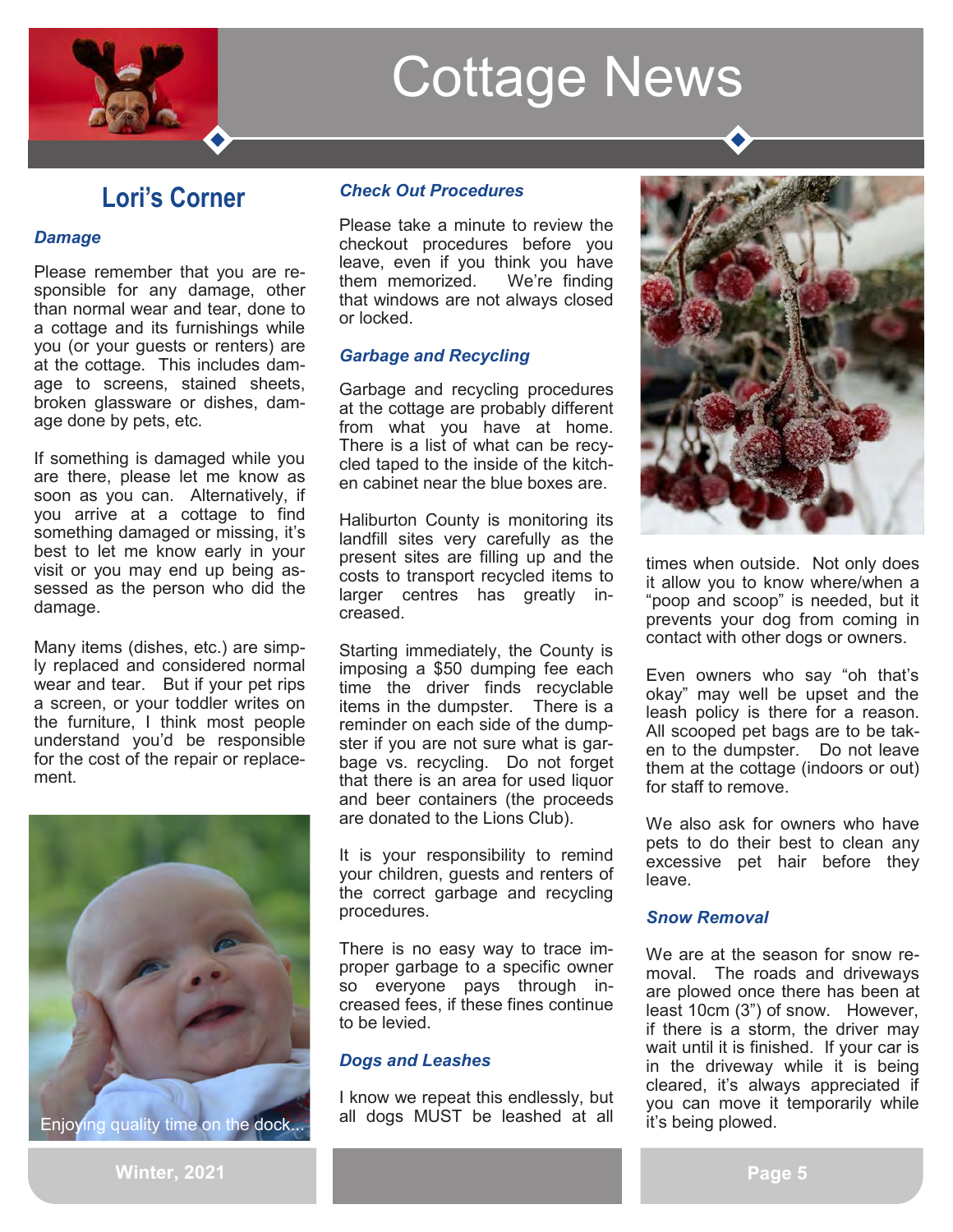

## **Lori's Corner**

#### *Damage*

Please remember that you are responsible for any damage, other than normal wear and tear, done to a cottage and its furnishings while you (or your guests or renters) are at the cottage. This includes damage to screens, stained sheets, broken glassware or dishes, damage done by pets, etc.

If something is damaged while you are there, please let me know as soon as you can. Alternatively, if you arrive at a cottage to find something damaged or missing, it's best to let me know early in your visit or you may end up being assessed as the person who did the damage.

Many items (dishes, etc.) are simply replaced and considered normal wear and tear. But if your pet rips a screen, or your toddler writes on the furniture, I think most people understand you'd be responsible for the cost of the repair or replacement.



*Check Out Procedures*

Please take a minute to review the checkout procedures before you leave, even if you think you have them memorized. We're finding that windows are not always closed or locked.

### *Garbage and Recycling*

Garbage and recycling procedures at the cottage are probably different from what you have at home. There is a list of what can be recycled taped to the inside of the kitchen cabinet near the blue boxes are.

Haliburton County is monitoring its landfill sites very carefully as the present sites are filling up and the costs to transport recycled items to larger centres has greatly increased.

Starting immediately, the County is imposing a \$50 dumping fee each time the driver finds recyclable items in the dumpster. There is a reminder on each side of the dumpster if you are not sure what is garbage vs. recycling. Do not forget that there is an area for used liquor and beer containers (the proceeds are donated to the Lions Club).

It is your responsibility to remind your children, guests and renters of the correct garbage and recycling procedures.

There is no easy way to trace improper garbage to a specific owner so everyone pays through increased fees, if these fines continue to be levied.

### *Dogs and Leashes*

I know we repeat this endlessly, but all dogs MUST be leashed at all



times when outside. Not only does it allow you to know where/when a "poop and scoop" is needed, but it prevents your dog from coming in contact with other dogs or owners.

Even owners who say "oh that's okay" may well be upset and the leash policy is there for a reason. All scooped pet bags are to be taken to the dumpster. Do not leave them at the cottage (indoors or out) for staff to remove.

We also ask for owners who have pets to do their best to clean any excessive pet hair before they leave.

#### *Snow Removal*

We are at the season for snow removal. The roads and driveways are plowed once there has been at least 10cm (3") of snow. However, if there is a storm, the driver may wait until it is finished. If your car is in the driveway while it is being cleared, it's always appreciated if you can move it temporarily while it's being plowed.

**Winter, 2021**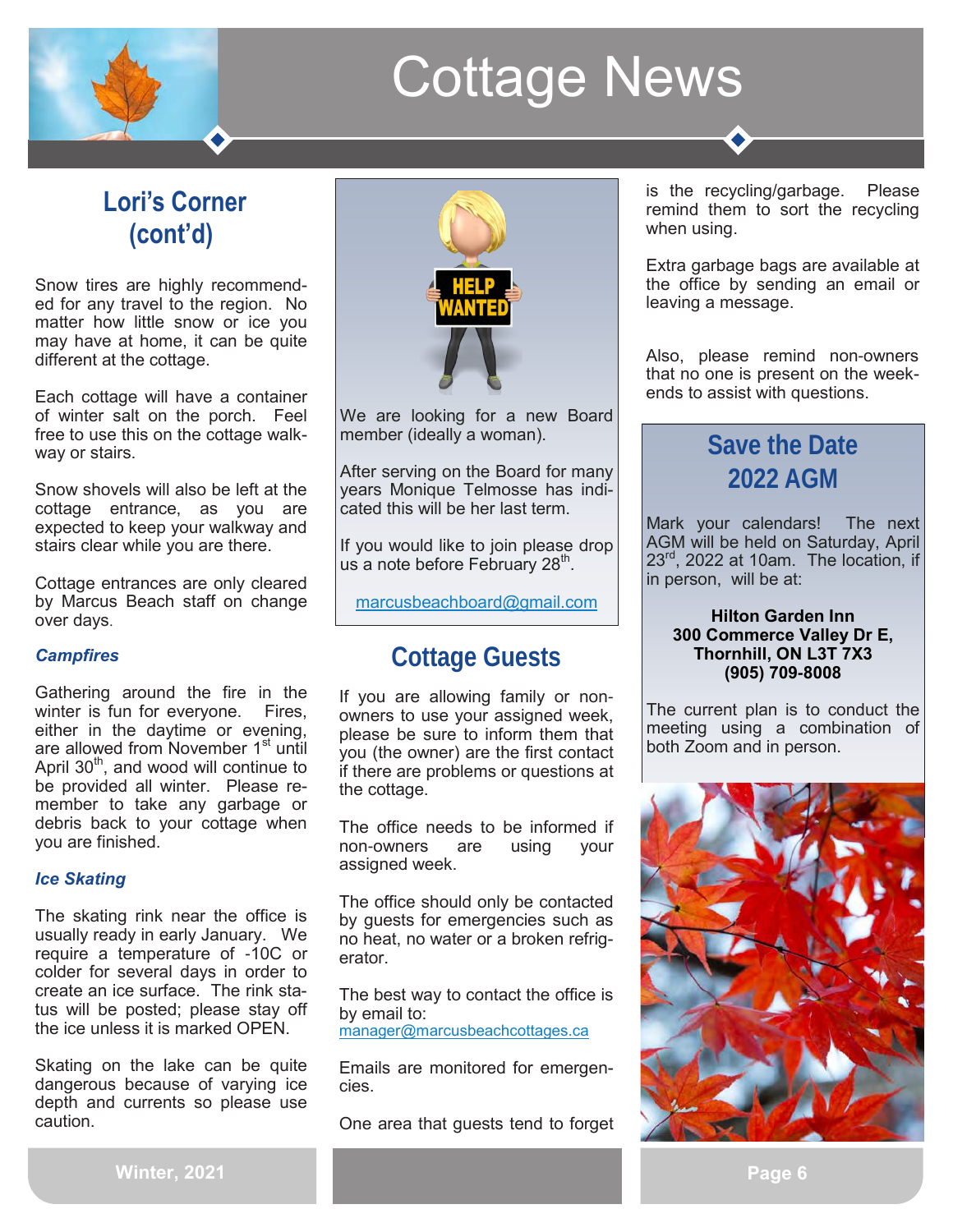## **Lori's Corner (cont'd)**

Snow tires are highly recommended for any travel to the region. No matter how little snow or ice you may have at home, it can be quite different at the cottage.

Each cottage will have a container of winter salt on the porch. Feel free to use this on the cottage walkway or stairs.

Snow shovels will also be left at the cottage entrance, as you are expected to keep your walkway and stairs clear while you are there.

Cottage entrances are only cleared by Marcus Beach staff on change over days.

### *Campfires*

Gathering around the fire in the winter is fun for everyone. Fires, either in the daytime or evening, are allowed from November 1<sup>st</sup> until April  $30<sup>th</sup>$ , and wood will continue to be provided all winter. Please remember to take any garbage or debris back to your cottage when you are finished.

#### *Ice Skating*

The skating rink near the office is usually ready in early January. We require a temperature of -10C or colder for several days in order to create an ice surface. The rink status will be posted; please stay off the ice unless it is marked OPEN.

Skating on the lake can be quite dangerous because of varying ice depth and currents so please use caution.



We are looking for a new Board member (ideally a woman).

After serving on the Board for many years Monique Telmosse has indicated this will be her last term.

If you would like to join please drop us a note before February 28<sup>th</sup>.

[marcusbeachboard@gmail.com](mailto:marcusbeachboard@gmail.com)

## **Cottage Guests**

If you are allowing family or nonowners to use your assigned week, please be sure to inform them that you (the owner) are the first contact if there are problems or questions at the cottage.

The office needs to be informed if non-owners are using your assigned week.

The office should only be contacted by guests for emergencies such as no heat, no water or a broken refrigerator.

The best way to contact the office is by email to: [manager@marcusbeachcottages.ca](mailto:manager@marcusbeachcottages.ca)

Emails are monitored for emergencies.

One area that guests tend to forget

is the recycling/garbage. Please remind them to sort the recycling when using.

Extra garbage bags are available at the office by sending an email or leaving a message.

Also, please remind non-owners that no one is present on the weekends to assist with questions.

## **Save the Date 2022 AGM**

Mark your calendars! The next AGM will be held on Saturday, April  $23<sup>rd</sup>$ , 2022 at 10am. The location, if in person, will be at:

#### **Hilton Garden Inn 300 Commerce Valley Dr E, Thornhill, ON L3T 7X3 [\(905\) 709](https://www.google.com/search?gs_ssp=eJzj4tZP1zcsMy_JTTY3MGC0UjWosLBMMUkxSTJJS0k2SbUwMrcyqDA2S0w2SDIyTEtKNjE1M0j0ks7IzCnJz1NITyxKSc1TyMzLUyjJyC_KAwrnAADG7hl2&q=hilton+garden+inn+thornhill&rlz=1C1MSIM_enCA938CA938&oq=hilton+garden+Inn+Thornhill&aqs=chrome.1.0i)-8008**

The current plan is to conduct the meeting using a combination of both Zoom and in person.

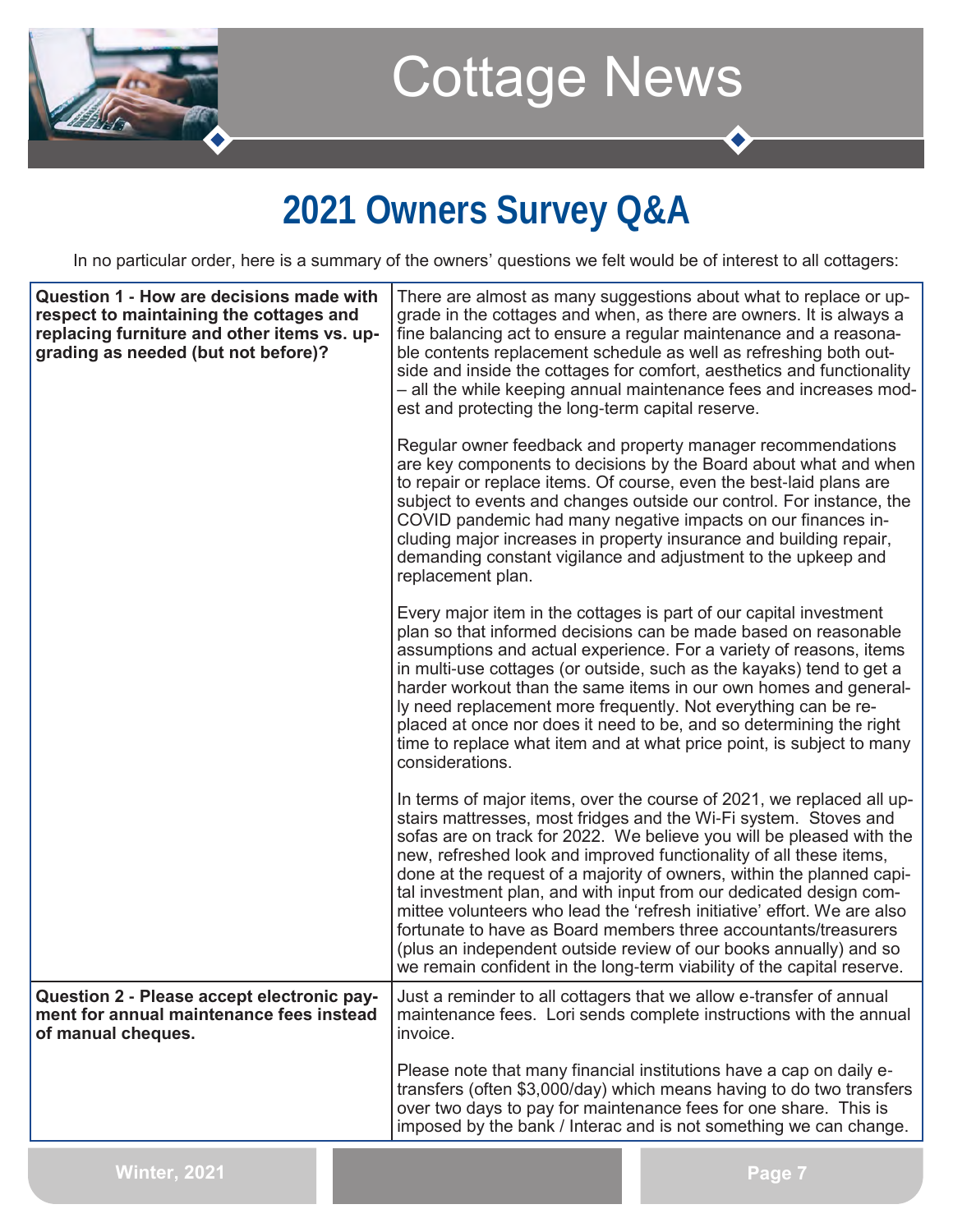

## **2021 Owners Survey Q&A**

In no particular order, here is a summary of the owners' questions we felt would be of interest to all cottagers:

| Question 1 - How are decisions made with<br>respect to maintaining the cottages and<br>replacing furniture and other items vs. up-<br>grading as needed (but not before)? | est and protecting the long-term capital reserve. | There are almost as many suggestions about what to replace or up-<br>grade in the cottages and when, as there are owners. It is always a<br>fine balancing act to ensure a regular maintenance and a reasona-<br>ble contents replacement schedule as well as refreshing both out-<br>side and inside the cottages for comfort, aesthetics and functionality<br>- all the while keeping annual maintenance fees and increases mod-                                                                                                                                                                                                                                                                                                  |
|---------------------------------------------------------------------------------------------------------------------------------------------------------------------------|---------------------------------------------------|-------------------------------------------------------------------------------------------------------------------------------------------------------------------------------------------------------------------------------------------------------------------------------------------------------------------------------------------------------------------------------------------------------------------------------------------------------------------------------------------------------------------------------------------------------------------------------------------------------------------------------------------------------------------------------------------------------------------------------------|
|                                                                                                                                                                           | replacement plan.                                 | Regular owner feedback and property manager recommendations<br>are key components to decisions by the Board about what and when<br>to repair or replace items. Of course, even the best-laid plans are<br>subject to events and changes outside our control. For instance, the<br>COVID pandemic had many negative impacts on our finances in-<br>cluding major increases in property insurance and building repair,<br>demanding constant vigilance and adjustment to the upkeep and                                                                                                                                                                                                                                               |
|                                                                                                                                                                           | considerations.                                   | Every major item in the cottages is part of our capital investment<br>plan so that informed decisions can be made based on reasonable<br>assumptions and actual experience. For a variety of reasons, items<br>in multi-use cottages (or outside, such as the kayaks) tend to get a<br>harder workout than the same items in our own homes and general-<br>ly need replacement more frequently. Not everything can be re-<br>placed at once nor does it need to be, and so determining the right<br>time to replace what item and at what price point, is subject to many                                                                                                                                                           |
|                                                                                                                                                                           |                                                   | In terms of major items, over the course of 2021, we replaced all up-<br>stairs mattresses, most fridges and the Wi-Fi system. Stoves and<br>sofas are on track for 2022. We believe you will be pleased with the<br>new, refreshed look and improved functionality of all these items,<br>done at the request of a majority of owners, within the planned capi-<br>tal investment plan, and with input from our dedicated design com-<br>mittee volunteers who lead the 'refresh initiative' effort. We are also<br>fortunate to have as Board members three accountants/treasurers<br>(plus an independent outside review of our books annually) and so<br>we remain confident in the long-term viability of the capital reserve. |
| Question 2 - Please accept electronic pay-<br>ment for annual maintenance fees instead<br>of manual cheques.                                                              | invoice.                                          | Just a reminder to all cottagers that we allow e-transfer of annual<br>maintenance fees. Lori sends complete instructions with the annual                                                                                                                                                                                                                                                                                                                                                                                                                                                                                                                                                                                           |
|                                                                                                                                                                           |                                                   | Please note that many financial institutions have a cap on daily e-<br>transfers (often \$3,000/day) which means having to do two transfers<br>over two days to pay for maintenance fees for one share. This is<br>imposed by the bank / Interac and is not something we can change.                                                                                                                                                                                                                                                                                                                                                                                                                                                |
| <b>Winter, 2021</b>                                                                                                                                                       |                                                   | Page 7                                                                                                                                                                                                                                                                                                                                                                                                                                                                                                                                                                                                                                                                                                                              |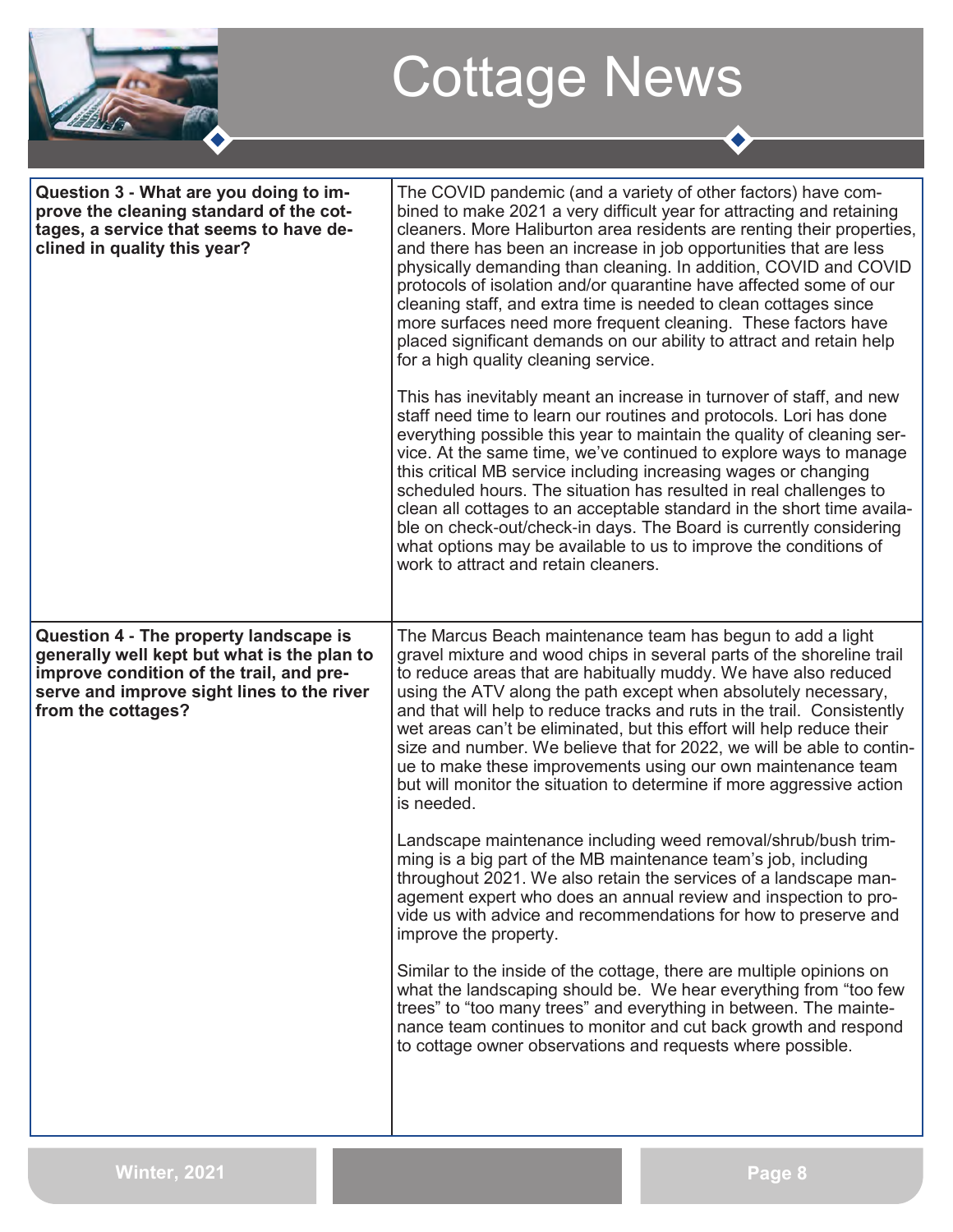| 22 A.T |
|--------|
|        |

 $\bullet$ 

| Question 3 - What are you doing to im-<br>prove the cleaning standard of the cot-<br>tages, a service that seems to have de-<br>clined in quality this year?                                          | The COVID pandemic (and a variety of other factors) have com-<br>bined to make 2021 a very difficult year for attracting and retaining<br>cleaners. More Haliburton area residents are renting their properties,<br>and there has been an increase in job opportunities that are less<br>physically demanding than cleaning. In addition, COVID and COVID<br>protocols of isolation and/or quarantine have affected some of our<br>cleaning staff, and extra time is needed to clean cottages since<br>more surfaces need more frequent cleaning. These factors have<br>placed significant demands on our ability to attract and retain help<br>for a high quality cleaning service.<br>This has inevitably meant an increase in turnover of staff, and new<br>staff need time to learn our routines and protocols. Lori has done<br>everything possible this year to maintain the quality of cleaning ser-<br>vice. At the same time, we've continued to explore ways to manage<br>this critical MB service including increasing wages or changing<br>scheduled hours. The situation has resulted in real challenges to<br>clean all cottages to an acceptable standard in the short time availa-<br>ble on check-out/check-in days. The Board is currently considering<br>what options may be available to us to improve the conditions of<br>work to attract and retain cleaners. |
|-------------------------------------------------------------------------------------------------------------------------------------------------------------------------------------------------------|--------------------------------------------------------------------------------------------------------------------------------------------------------------------------------------------------------------------------------------------------------------------------------------------------------------------------------------------------------------------------------------------------------------------------------------------------------------------------------------------------------------------------------------------------------------------------------------------------------------------------------------------------------------------------------------------------------------------------------------------------------------------------------------------------------------------------------------------------------------------------------------------------------------------------------------------------------------------------------------------------------------------------------------------------------------------------------------------------------------------------------------------------------------------------------------------------------------------------------------------------------------------------------------------------------------------------------------------------------------------------------------|
|                                                                                                                                                                                                       |                                                                                                                                                                                                                                                                                                                                                                                                                                                                                                                                                                                                                                                                                                                                                                                                                                                                                                                                                                                                                                                                                                                                                                                                                                                                                                                                                                                      |
| Question 4 - The property landscape is<br>generally well kept but what is the plan to<br>improve condition of the trail, and pre-<br>serve and improve sight lines to the river<br>from the cottages? | The Marcus Beach maintenance team has begun to add a light<br>gravel mixture and wood chips in several parts of the shoreline trail<br>to reduce areas that are habitually muddy. We have also reduced<br>using the ATV along the path except when absolutely necessary,<br>and that will help to reduce tracks and ruts in the trail. Consistently<br>wet areas can't be eliminated, but this effort will help reduce their<br>size and number. We believe that for 2022, we will be able to contin-<br>ue to make these improvements using our own maintenance team<br>but will monitor the situation to determine if more aggressive action<br>is needed.<br>Landscape maintenance including weed removal/shrub/bush trim-                                                                                                                                                                                                                                                                                                                                                                                                                                                                                                                                                                                                                                                        |
|                                                                                                                                                                                                       | ming is a big part of the MB maintenance team's job, including<br>throughout 2021. We also retain the services of a landscape man-<br>agement expert who does an annual review and inspection to pro-<br>vide us with advice and recommendations for how to preserve and<br>improve the property.                                                                                                                                                                                                                                                                                                                                                                                                                                                                                                                                                                                                                                                                                                                                                                                                                                                                                                                                                                                                                                                                                    |
|                                                                                                                                                                                                       | Similar to the inside of the cottage, there are multiple opinions on<br>what the landscaping should be. We hear everything from "too few<br>trees" to "too many trees" and everything in between. The mainte-<br>nance team continues to monitor and cut back growth and respond<br>to cottage owner observations and requests where possible.                                                                                                                                                                                                                                                                                                                                                                                                                                                                                                                                                                                                                                                                                                                                                                                                                                                                                                                                                                                                                                       |
|                                                                                                                                                                                                       |                                                                                                                                                                                                                                                                                                                                                                                                                                                                                                                                                                                                                                                                                                                                                                                                                                                                                                                                                                                                                                                                                                                                                                                                                                                                                                                                                                                      |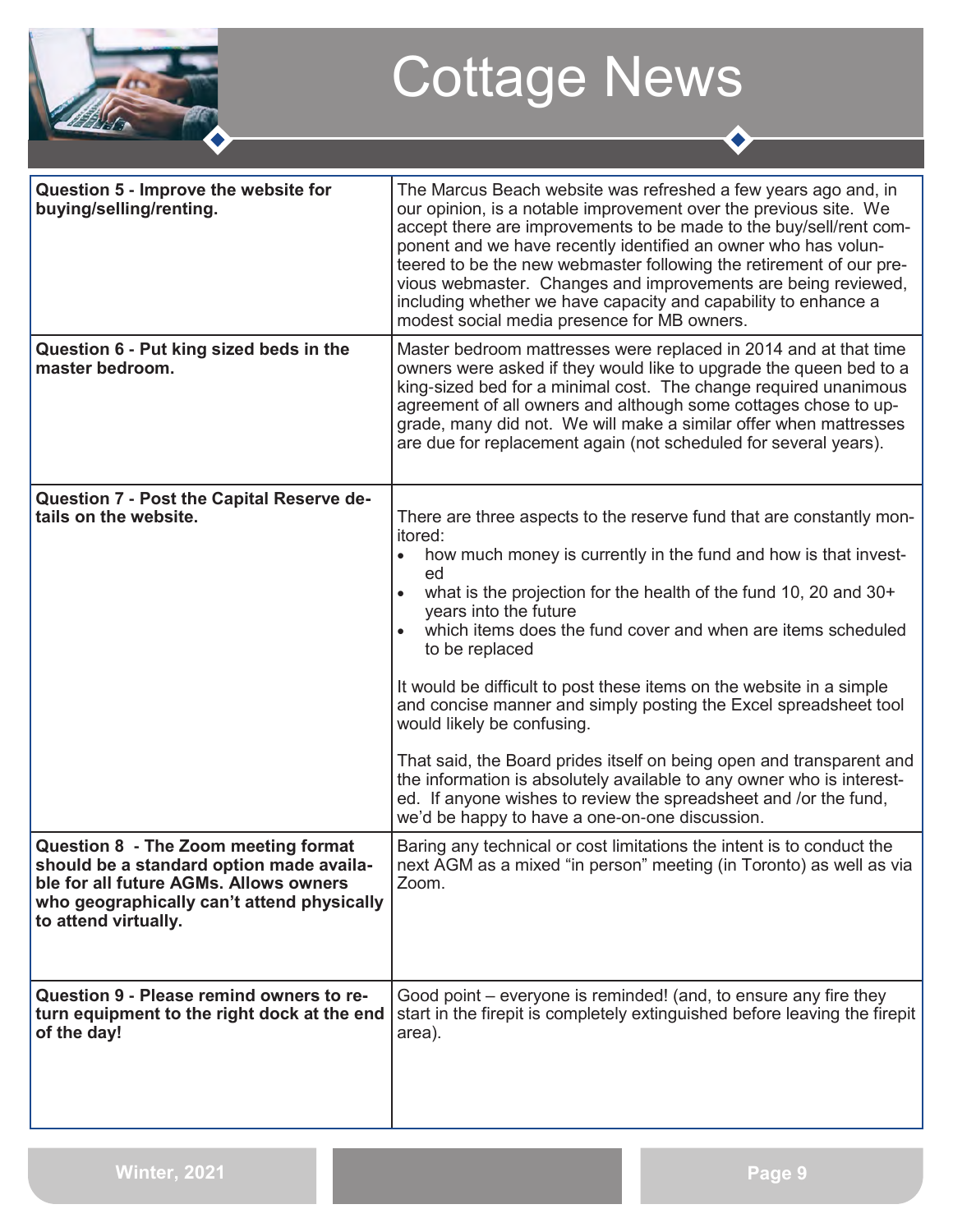

| Question 5 - Improve the website for<br>buying/selling/renting.                                                                                                                                  | The Marcus Beach website was refreshed a few years ago and, in<br>our opinion, is a notable improvement over the previous site. We<br>accept there are improvements to be made to the buy/sell/rent com-<br>ponent and we have recently identified an owner who has volun-<br>teered to be the new webmaster following the retirement of our pre-<br>vious webmaster. Changes and improvements are being reviewed,<br>including whether we have capacity and capability to enhance a<br>modest social media presence for MB owners.                                                                                                                                                                                                                                                      |
|--------------------------------------------------------------------------------------------------------------------------------------------------------------------------------------------------|------------------------------------------------------------------------------------------------------------------------------------------------------------------------------------------------------------------------------------------------------------------------------------------------------------------------------------------------------------------------------------------------------------------------------------------------------------------------------------------------------------------------------------------------------------------------------------------------------------------------------------------------------------------------------------------------------------------------------------------------------------------------------------------|
| Question 6 - Put king sized beds in the<br>master bedroom.                                                                                                                                       | Master bedroom mattresses were replaced in 2014 and at that time<br>owners were asked if they would like to upgrade the queen bed to a<br>king-sized bed for a minimal cost. The change required unanimous<br>agreement of all owners and although some cottages chose to up-<br>grade, many did not. We will make a similar offer when mattresses<br>are due for replacement again (not scheduled for several years).                                                                                                                                                                                                                                                                                                                                                                   |
| Question 7 - Post the Capital Reserve de-<br>tails on the website.                                                                                                                               | There are three aspects to the reserve fund that are constantly mon-<br>itored:<br>how much money is currently in the fund and how is that invest-<br>ed<br>what is the projection for the health of the fund 10, 20 and 30+<br>years into the future<br>which items does the fund cover and when are items scheduled<br>to be replaced<br>It would be difficult to post these items on the website in a simple<br>and concise manner and simply posting the Excel spreadsheet tool<br>would likely be confusing.<br>That said, the Board prides itself on being open and transparent and<br>the information is absolutely available to any owner who is interest-<br>ed. If anyone wishes to review the spreadsheet and /or the fund,<br>we'd be happy to have a one-on-one discussion. |
| Question 8 - The Zoom meeting format<br>should be a standard option made availa-<br>ble for all future AGMs. Allows owners<br>who geographically can't attend physically<br>to attend virtually. | Baring any technical or cost limitations the intent is to conduct the<br>next AGM as a mixed "in person" meeting (in Toronto) as well as via<br>Zoom.                                                                                                                                                                                                                                                                                                                                                                                                                                                                                                                                                                                                                                    |
| Question 9 - Please remind owners to re-<br>turn equipment to the right dock at the end<br>of the day!                                                                                           | Good point – everyone is reminded! (and, to ensure any fire they<br>start in the firepit is completely extinguished before leaving the firepit<br>area).                                                                                                                                                                                                                                                                                                                                                                                                                                                                                                                                                                                                                                 |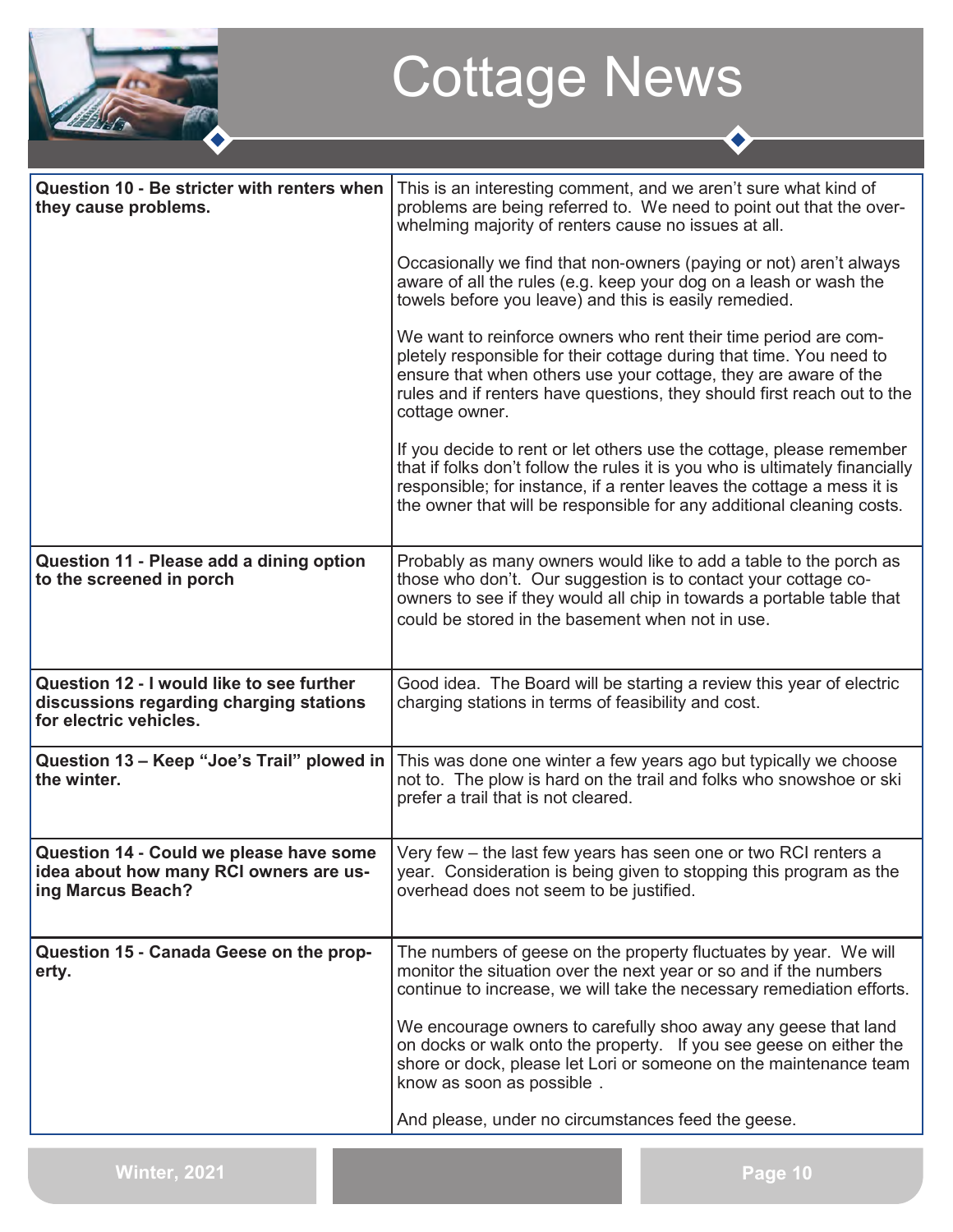

| Question 10 - Be stricter with renters when<br>they cause problems.                                            | This is an interesting comment, and we aren't sure what kind of<br>problems are being referred to. We need to point out that the over-<br>whelming majority of renters cause no issues at all.                                                                                                          |
|----------------------------------------------------------------------------------------------------------------|---------------------------------------------------------------------------------------------------------------------------------------------------------------------------------------------------------------------------------------------------------------------------------------------------------|
|                                                                                                                | Occasionally we find that non-owners (paying or not) aren't always<br>aware of all the rules (e.g. keep your dog on a leash or wash the<br>towels before you leave) and this is easily remedied.                                                                                                        |
|                                                                                                                | We want to reinforce owners who rent their time period are com-<br>pletely responsible for their cottage during that time. You need to<br>ensure that when others use your cottage, they are aware of the<br>rules and if renters have questions, they should first reach out to the<br>cottage owner.  |
|                                                                                                                | If you decide to rent or let others use the cottage, please remember<br>that if folks don't follow the rules it is you who is ultimately financially<br>responsible; for instance, if a renter leaves the cottage a mess it is<br>the owner that will be responsible for any additional cleaning costs. |
| Question 11 - Please add a dining option<br>to the screened in porch                                           | Probably as many owners would like to add a table to the porch as<br>those who don't. Our suggestion is to contact your cottage co-<br>owners to see if they would all chip in towards a portable table that<br>could be stored in the basement when not in use.                                        |
| Question 12 - I would like to see further<br>discussions regarding charging stations<br>for electric vehicles. | Good idea. The Board will be starting a review this year of electric<br>charging stations in terms of feasibility and cost.                                                                                                                                                                             |
| Question 13 - Keep "Joe's Trail" plowed in<br>the winter.                                                      | This was done one winter a few years ago but typically we choose<br>not to. The plow is hard on the trail and folks who snowshoe or ski<br>prefer a trail that is not cleared.                                                                                                                          |
| Question 14 - Could we please have some<br>idea about how many RCI owners are us-<br>ing Marcus Beach?         | Very few – the last few years has seen one or two RCI renters a<br>year. Consideration is being given to stopping this program as the<br>overhead does not seem to be justified.                                                                                                                        |
| Question 15 - Canada Geese on the prop-<br>erty.                                                               | The numbers of geese on the property fluctuates by year. We will<br>monitor the situation over the next year or so and if the numbers<br>continue to increase, we will take the necessary remediation efforts.                                                                                          |
|                                                                                                                | We encourage owners to carefully shoo away any geese that land<br>on docks or walk onto the property. If you see geese on either the<br>shore or dock, please let Lori or someone on the maintenance team<br>know as soon as possible.                                                                  |
|                                                                                                                | And please, under no circumstances feed the geese.                                                                                                                                                                                                                                                      |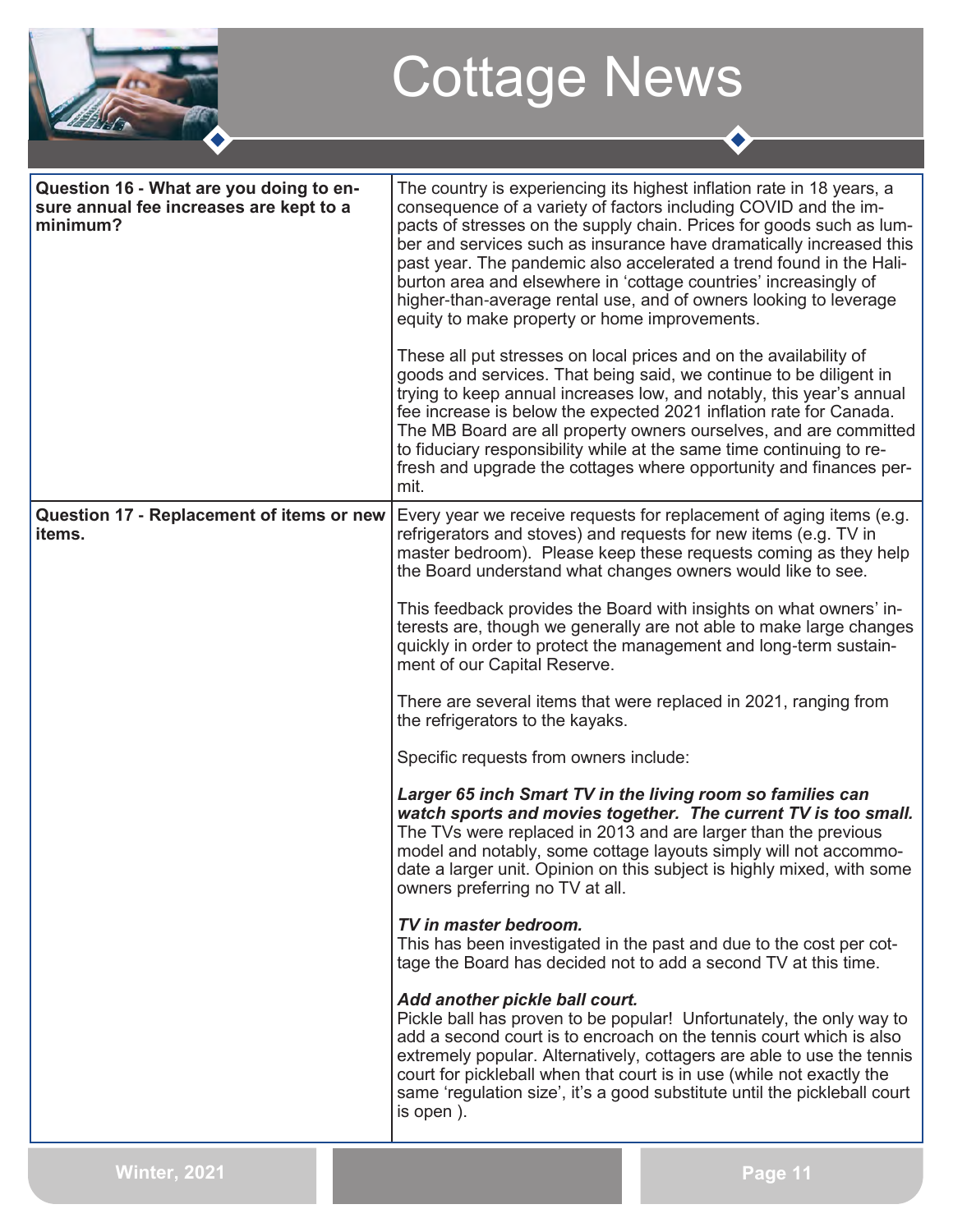

 $\bullet$ 

| Question 16 - What are you doing to en-<br>sure annual fee increases are kept to a<br>minimum? | The country is experiencing its highest inflation rate in 18 years, a<br>consequence of a variety of factors including COVID and the im-<br>pacts of stresses on the supply chain. Prices for goods such as lum-<br>ber and services such as insurance have dramatically increased this<br>past year. The pandemic also accelerated a trend found in the Hali-<br>burton area and elsewhere in 'cottage countries' increasingly of<br>higher-than-average rental use, and of owners looking to leverage<br>equity to make property or home improvements. |
|------------------------------------------------------------------------------------------------|----------------------------------------------------------------------------------------------------------------------------------------------------------------------------------------------------------------------------------------------------------------------------------------------------------------------------------------------------------------------------------------------------------------------------------------------------------------------------------------------------------------------------------------------------------|
|                                                                                                | These all put stresses on local prices and on the availability of<br>goods and services. That being said, we continue to be diligent in<br>trying to keep annual increases low, and notably, this year's annual<br>fee increase is below the expected 2021 inflation rate for Canada.<br>The MB Board are all property owners ourselves, and are committed<br>to fiduciary responsibility while at the same time continuing to re-<br>fresh and upgrade the cottages where opportunity and finances per-<br>mit.                                         |
| Question 17 - Replacement of items or new<br>items.                                            | Every year we receive requests for replacement of aging items (e.g.<br>refrigerators and stoves) and requests for new items (e.g. TV in<br>master bedroom). Please keep these requests coming as they help<br>the Board understand what changes owners would like to see.                                                                                                                                                                                                                                                                                |
|                                                                                                | This feedback provides the Board with insights on what owners' in-<br>terests are, though we generally are not able to make large changes<br>quickly in order to protect the management and long-term sustain-<br>ment of our Capital Reserve.                                                                                                                                                                                                                                                                                                           |
|                                                                                                | There are several items that were replaced in 2021, ranging from<br>the refrigerators to the kayaks.                                                                                                                                                                                                                                                                                                                                                                                                                                                     |
|                                                                                                | Specific requests from owners include:                                                                                                                                                                                                                                                                                                                                                                                                                                                                                                                   |
|                                                                                                | Larger 65 inch Smart TV in the living room so families can<br>watch sports and movies together. The current TV is too small.<br>The TVs were replaced in 2013 and are larger than the previous<br>model and notably, some cottage layouts simply will not accommo-<br>date a larger unit. Opinion on this subject is highly mixed, with some<br>owners preferring no TV at all.                                                                                                                                                                          |
|                                                                                                | TV in master bedroom.<br>This has been investigated in the past and due to the cost per cot-<br>tage the Board has decided not to add a second TV at this time.                                                                                                                                                                                                                                                                                                                                                                                          |
|                                                                                                | Add another pickle ball court.<br>Pickle ball has proven to be popular! Unfortunately, the only way to<br>add a second court is to encroach on the tennis court which is also<br>extremely popular. Alternatively, cottagers are able to use the tennis<br>court for pickleball when that court is in use (while not exactly the<br>same 'regulation size', it's a good substitute until the pickleball court<br>is open).                                                                                                                               |